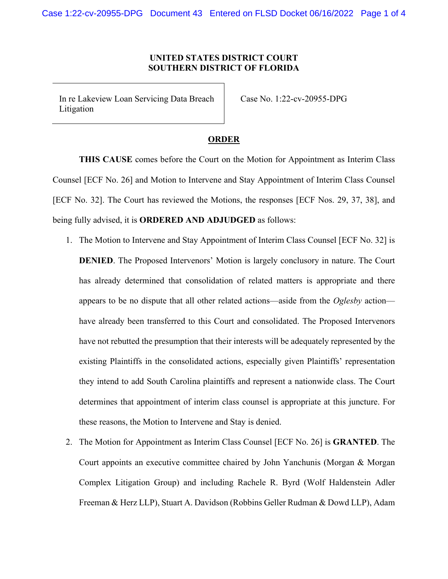## **UNITED STATES DISTRICT COURT SOUTHERN DISTRICT OF FLORIDA**

In re Lakeview Loan Servicing Data Breach Litigation

Case No. 1:22-cv-20955-DPG

## **ORDER**

**THIS CAUSE** comes before the Court on the Motion for Appointment as Interim Class Counsel [ECF No. 26] and Motion to Intervene and Stay Appointment of Interim Class Counsel [ECF No. 32]. The Court has reviewed the Motions, the responses [ECF Nos. 29, 37, 38], and being fully advised, it is **ORDERED AND ADJUDGED** as follows:

- 1. The Motion to Intervene and Stay Appointment of Interim Class Counsel [ECF No. 32] is **DENIED**. The Proposed Intervenors' Motion is largely conclusory in nature. The Court has already determined that consolidation of related matters is appropriate and there appears to be no dispute that all other related actions—aside from the *Oglesby* action have already been transferred to this Court and consolidated. The Proposed Intervenors have not rebutted the presumption that their interests will be adequately represented by the existing Plaintiffs in the consolidated actions, especially given Plaintiffs' representation they intend to add South Carolina plaintiffs and represent a nationwide class. The Court determines that appointment of interim class counsel is appropriate at this juncture. For these reasons, the Motion to Intervene and Stay is denied.
- 2. The Motion for Appointment as Interim Class Counsel [ECF No. 26] is **GRANTED**. The Court appoints an executive committee chaired by John Yanchunis (Morgan & Morgan Complex Litigation Group) and including Rachele R. Byrd (Wolf Haldenstein Adler Freeman & Herz LLP), Stuart A. Davidson (Robbins Geller Rudman & Dowd LLP), Adam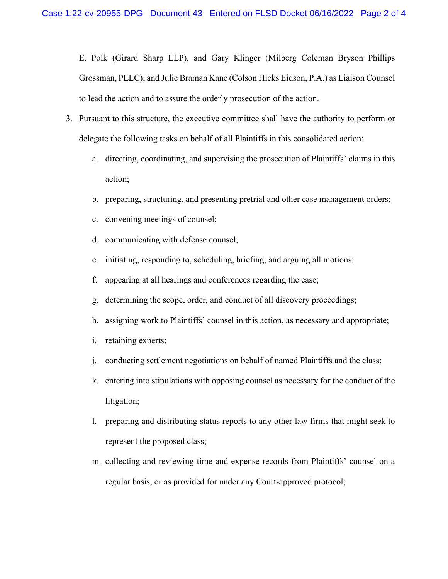E. Polk (Girard Sharp LLP), and Gary Klinger (Milberg Coleman Bryson Phillips Grossman, PLLC); and Julie Braman Kane (Colson Hicks Eidson, P.A.) as Liaison Counsel to lead the action and to assure the orderly prosecution of the action.

- 3. Pursuant to this structure, the executive committee shall have the authority to perform or delegate the following tasks on behalf of all Plaintiffs in this consolidated action:
	- a. directing, coordinating, and supervising the prosecution of Plaintiffs' claims in this action;
	- b. preparing, structuring, and presenting pretrial and other case management orders;
	- c. convening meetings of counsel;
	- d. communicating with defense counsel;
	- e. initiating, responding to, scheduling, briefing, and arguing all motions;
	- f. appearing at all hearings and conferences regarding the case;
	- g. determining the scope, order, and conduct of all discovery proceedings;
	- h. assigning work to Plaintiffs' counsel in this action, as necessary and appropriate;
	- i. retaining experts;
	- j. conducting settlement negotiations on behalf of named Plaintiffs and the class;
	- k. entering into stipulations with opposing counsel as necessary for the conduct of the litigation;
	- l. preparing and distributing status reports to any other law firms that might seek to represent the proposed class;
	- m. collecting and reviewing time and expense records from Plaintiffs' counsel on a regular basis, or as provided for under any Court-approved protocol;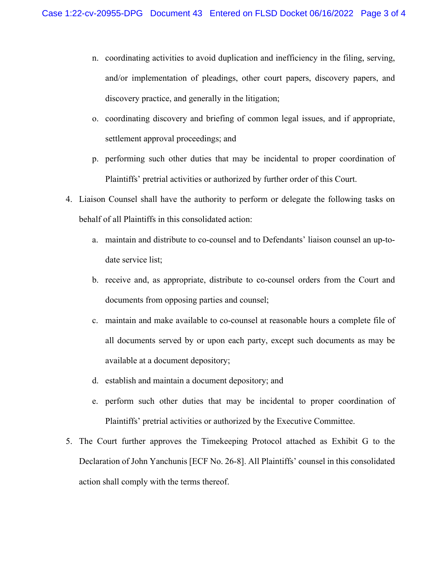- n. coordinating activities to avoid duplication and inefficiency in the filing, serving, and/or implementation of pleadings, other court papers, discovery papers, and discovery practice, and generally in the litigation;
- o. coordinating discovery and briefing of common legal issues, and if appropriate, settlement approval proceedings; and
- p. performing such other duties that may be incidental to proper coordination of Plaintiffs' pretrial activities or authorized by further order of this Court.
- 4. Liaison Counsel shall have the authority to perform or delegate the following tasks on behalf of all Plaintiffs in this consolidated action:
	- a. maintain and distribute to co-counsel and to Defendants' liaison counsel an up-todate service list;
	- b. receive and, as appropriate, distribute to co-counsel orders from the Court and documents from opposing parties and counsel;
	- c. maintain and make available to co-counsel at reasonable hours a complete file of all documents served by or upon each party, except such documents as may be available at a document depository;
	- d. establish and maintain a document depository; and
	- e. perform such other duties that may be incidental to proper coordination of Plaintiffs' pretrial activities or authorized by the Executive Committee.
- 5. The Court further approves the Timekeeping Protocol attached as Exhibit G to the Declaration of John Yanchunis [ECF No. 26-8]. All Plaintiffs' counsel in this consolidated action shall comply with the terms thereof.